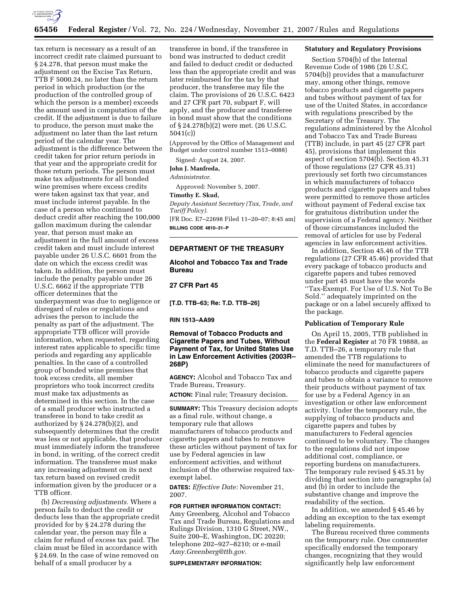

tax return is necessary as a result of an incorrect credit rate claimed pursuant to § 24.278, that person must make the adjustment on the Excise Tax Return, TTB F 5000.24, no later than the return period in which production (or the production of the controlled group of which the person is a member) exceeds the amount used in computation of the credit. If the adjustment is due to failure to produce, the person must make the adjustment no later than the last return period of the calendar year. The adjustment is the difference between the credit taken for prior return periods in that year and the appropriate credit for those return periods. The person must make tax adjustments for all bonded wine premises where excess credits were taken against tax that year, and must include interest payable. In the case of a person who continued to deduct credit after reaching the 100,000 gallon maximum during the calendar year, that person must make an adjustment in the full amount of excess credit taken and must include interest payable under 26 U.S.C. 6601 from the date on which the excess credit was taken. In addition, the person must include the penalty payable under 26 U.S.C. 6662 if the appropriate TTB officer determines that the underpayment was due to negligence or disregard of rules or regulations and advises the person to include the penalty as part of the adjustment. The appropriate TTB officer will provide information, when requested, regarding interest rates applicable to specific time periods and regarding any applicable penalties. In the case of a controlled group of bonded wine premises that took excess credits, all member proprietors who took incorrect credits must make tax adjustments as determined in this section. In the case of a small producer who instructed a transferee in bond to take credit as authorized by § 24.278(b)(2), and subsequently determines that the credit was less or not applicable, that producer must immediately inform the transferee in bond, in writing, of the correct credit information. The transferee must make any increasing adjustment on its next tax return based on revised credit information given by the producer or a TTB officer.

(b) *Decreasing adjustments.* Where a person fails to deduct the credit or deducts less than the appropriate credit provided for by § 24.278 during the calendar year, the person may file a claim for refund of excess tax paid. The claim must be filed in accordance with § 24.69. In the case of wine removed on behalf of a small producer by a

transferee in bond, if the transferee in bond was instructed to deduct credit and failed to deduct credit or deducted less than the appropriate credit and was later reimbursed for the tax by that producer, the transferee may file the claim. The provisions of 26 U.S.C. 6423 and 27 CFR part 70, subpart F, will apply, and the producer and transferee in bond must show that the conditions of § 24.278(b)(2) were met. (26 U.S.C. 5041(c))

(Approved by the Office of Management and Budget under control number 1513–0088)

Signed: August 24, 2007.

# **John J. Manfreda,**

*Administrator.* 

Approved: November 5, 2007.

**Timothy E. Skud,** 

*Deputy Assistant Secretary (Tax, Trade, and Tariff Policy).* 

[FR Doc. E7–22698 Filed 11–20–07; 8:45 am] **BILLING CODE 4810–31–P** 

#### **DEPARTMENT OF THE TREASURY**

# **Alcohol and Tobacco Tax and Trade Bureau**

# **27 CFR Part 45**

**[T.D. TTB–63; Re: T.D. TTB–26]** 

#### **RIN 1513–AA99**

# **Removal of Tobacco Products and Cigarette Papers and Tubes, Without Payment of Tax, for United States Use in Law Enforcement Activities (2003R– 268P)**

**AGENCY:** Alcohol and Tobacco Tax and Trade Bureau, Treasury.

**ACTION:** Final rule; Treasury decision.

**SUMMARY:** This Treasury decision adopts as a final rule, without change, a temporary rule that allows manufacturers of tobacco products and cigarette papers and tubes to remove these articles without payment of tax for use by Federal agencies in law enforcement activities, and without inclusion of the otherwise required taxexempt label.

**DATES:** *Effective Date:* November 21, 2007.

**FOR FURTHER INFORMATION CONTACT:**  Amy Greenberg, Alcohol and Tobacco Tax and Trade Bureau, Regulations and Rulings Division, 1310 G Street, NW., Suite 200–E, Washington, DC 20220; telephone 202–927–8210; or e-mail *Amy.Greenberg@ttb.gov*.

#### **SUPPLEMENTARY INFORMATION:**

#### **Statutory and Regulatory Provisions**

Section 5704(b) of the Internal Revenue Code of 1986 (26 U.S.C. 5704(b)) provides that a manufacturer may, among other things, remove tobacco products and cigarette papers and tubes without payment of tax for use of the United States, in accordance with regulations prescribed by the Secretary of the Treasury. The regulations administered by the Alcohol and Tobacco Tax and Trade Bureau (TTB) include, in part 45 (27 CFR part 45), provisions that implement this aspect of section 5704(b). Section 45.31 of those regulations (27 CFR 45.31) previously set forth two circumstances in which manufacturers of tobacco products and cigarette papers and tubes were permitted to remove those articles without payment of Federal excise tax for gratuitous distribution under the supervision of a Federal agency. Neither of those circumstances included the removal of articles for use by Federal agencies in law enforcement activities.

In addition, Section 45.46 of the TTB regulations (27 CFR 45.46) provided that every package of tobacco products and cigarette papers and tubes removed under part 45 must have the words ''Tax-Exempt. For Use of U.S. Not To Be Sold.'' adequately imprinted on the package or on a label securely affixed to the package.

#### **Publication of Temporary Rule**

On April 15, 2005, TTB published in the **Federal Register** at 70 FR 19888, as T.D. TTB–26, a temporary rule that amended the TTB regulations to eliminate the need for manufacturers of tobacco products and cigarette papers and tubes to obtain a variance to remove their products without payment of tax for use by a Federal Agency in an investigation or other law enforcement activity. Under the temporary rule, the supplying of tobacco products and cigarette papers and tubes by manufacturers to Federal agencies continued to be voluntary. The changes to the regulations did not impose additional cost, compliance, or reporting burdens on manufacturers. The temporary rule revised § 45.31 by dividing that section into paragraphs (a) and (b) in order to include the substantive change and improve the readability of the section.

In addition, we amended § 45.46 by adding an exception to the tax exempt labeling requirements.

The Bureau received three comments on the temporary rule. One commenter specifically endorsed the temporary changes, recognizing that they would significantly help law enforcement